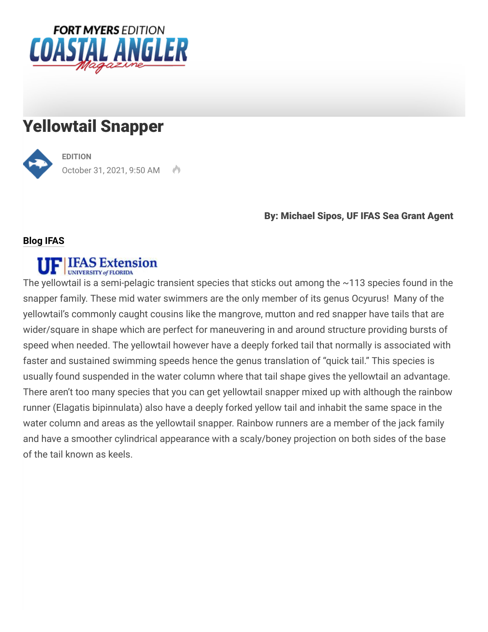

## Yellowtail Snapper



**[EDITION](https://coastalanglermag.com/author/naples/)** October 31, 2021, 9:50 AM

#### By: Michael Sipos, UF IFAS Sea Grant Agent

#### **Blog IFAS**

# UF **IFAS** Extension

The yellowtail is a semi-pelagic transient species that sticks out among the ~113 species found in the snapper family. These mid water swimmers are the only member of its genus Ocyurus! Many of the yellowtail's commonly caught cousins like the mangrove, mutton and red snapper have tails that are wider/square in shape which are perfect for maneuvering in and around structure providing bursts of speed when needed. The yellowtail however have a deeply forked tail that normally is associated with faster and sustained swimming speeds hence the genus translation of "quick tail." This species is usually found suspended in the water column where that tail shape gives the yellowtail an advantage. There aren't too many species that you can get yellowtail snapper mixed up with although the rainbow runner (Elagatis bipinnulata) also have a deeply forked yellow tail and inhabit the same space in the water column and areas as the yellowtail snapper. Rainbow runners are a member of the jack family and have a smoother cylindrical appearance with a scaly/boney projection on both sides of the base of the tail known as keels.